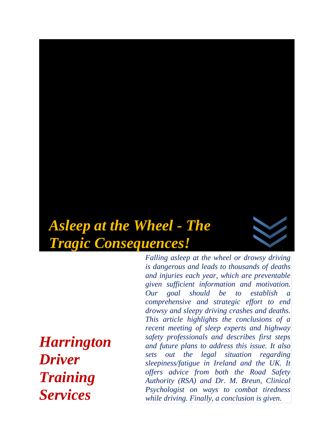# *Asleep at the Wheel - The Tragic Consequences!*



*Harrington Driver Training Services* 

*Falling asleep at the wheel or drowsy driving is dangerous and leads to thousands of deaths and injuries each year, which are preventable given sufficient information and motivation. Our goal should be to establish a comprehensive and strategic effort to end drowsy and sleepy driving crashes and deaths. This article highlights the conclusions of a recent meeting of sleep experts and highway safety professionals and describes first steps and future plans to address this issue. It also sets out the legal situation regarding sleepiness/fatigue in Ireland and the UK. It offers advice from both the Road Safety Authority (RSA) and Dr. M. Breun, Clinical Psychologist on ways to combat tiredness while driving. Finally, a conclusion is given.*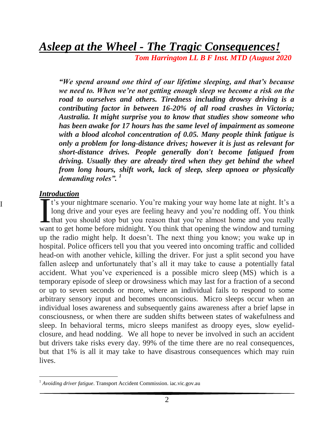*Asleep at the Wheel - The Tragic Consequences!*

*Tom Harrington LL B F Inst. MTD (August 2020*

*"We spend around one third of our lifetime sleeping, and that's because we need to. When we're not getting enough sleep we become a risk on the road to ourselves and others. Tiredness including drowsy driving is a contributing factor in between 16-20% of all road crashes in Victoria; Australia. It might surprise you to know that studies show someone who has been awake for 17 hours has the same level of impairment as someone with a blood alcohol concentration of 0.05. Many people think fatigue is only a problem for long-distance drives; however it is just as relevant for short-distance drives. People generally don't become fatigued from driving. Usually they are already tired when they get behind the wheel from long hours, shift work, lack of sleep, sleep apnoea or physically demanding roles". <sup>1</sup>*

#### *Introduction*

I

 $\overline{a}$ 

t's your nightmare scenario. You're making your way home late at night. It's a long drive and your eyes are feeling heavy and you're nodding off. You think that you should stop but you reason that you're almost home and you really The total contract the Technical Contract to get home before midnight. You think that you should stop but you reason that you're almost home and you really want to get home before midnight. You think that opening the windo up the radio might help. It doesn't. The next thing you know; you wake up in hospital. Police officers tell you that you veered into oncoming traffic and collided head-on with another vehicle, killing the driver. For just a split second you have fallen asleep and unfortunately that's all it may take to cause a potentially fatal accident. What you've experienced is a possible micro sleep (MS) which is a temporary episode of [sleep](https://en.wikipedia.org/wiki/Sleep) or drowsiness which may last for a fraction of a second or up to seven seconds or more, where an individual fails to respond to some arbitrary sensory input and becomes unconscious. Micro sleeps occur when an individual loses awareness and subsequently gains awareness after a brief lapse in consciousness, or when there are sudden shifts between states of [wakefulness](https://en.wikipedia.org/wiki/Wakefulness) and sleep. In behavioral terms, micro sleeps manifest as droopy eyes, slow eyelidclosure, and head nodding. We all hope to never be involved in such an accident but drivers take risks every day. 99% of the time there are no real consequences, but that 1% is all it may take to have disastrous consequences which may ruin lives.

<sup>&</sup>lt;sup>1</sup> Avoiding driver fatigue. Transport Accident Commission. iac.vic.gov.au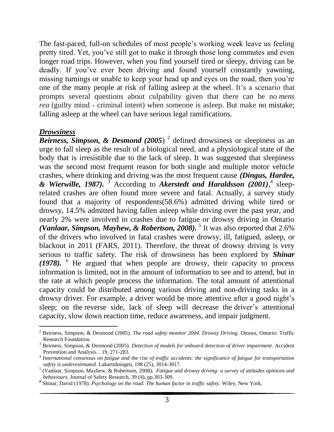The fast-paced, full-on schedules of most people's working week leave us feeling pretty tired. Yet, you've still got to make it through those long commutes and even longer road trips. However, when you find yourself tired or sleepy, driving can be deadly. If you've ever been driving and found yourself constantly yawning, missing turnings or unable to keep your head up and eyes on the road, then you're one of the many people at risk of falling asleep at the wheel. It's a scenario that prompts several questions about culpability given that there can be no *mens rea* (guilty mind - criminal intent) when someone is asleep. But make no mistake; falling asleep at the wheel can have serious legal ramifications.

#### *Drowsiness*

l

*Beirness, Simpson, & Desmond (2005)* <sup>2</sup> defined drowsiness or sleepiness as an urge to fall sleep as the result of a biological need, and a physiological state of the body that is irresistible due to the lack of sleep. It was suggested that sleepiness was the second most frequent reason for both single and multiple motor vehicle crashes, where drinking and driving was the most frequent cause *(Dingus, Hardee, & Wierwille, 1987).* <sup>3</sup> According to *Akerstedt and Haraldsson (2001)*, 4 sleeprelated crashes are often found more severe and fatal. Actually, a survey study found that a majority of respondents(58.6%) admitted driving while tired or drowsy, 14.5% admitted having fallen asleep while driving over the past year, and nearly 2% were involved in crashes due to fatigue or drowsy driving in Ontario (Vanlaar, Simpson, Mayhew, & Robertson, 2008).<sup>5</sup> It was also reported that 2.6% of the drivers who involved in fatal crashes were drowsy, ill, fatigued, asleep, or blackout in 2011 (FARS, 2011). Therefore, the threat of drowsy driving is very serious to traffic safety. The risk of drowsiness has been explored by *Shinar (1978).* <sup>6</sup> He argued that when people are drowsy, their capacity to process information is limited, not in the amount of information to see and to attend, but in the rate at which people process the information. The total amount of attentional capacity could be distributed among various driving and non-driving tasks in a drowsy driver. For example, a driver would be more attentive after a good night's sleep; on the reverse side, lack of sleep will decrease the driver's attentional capacity, slow down reaction time, reduce awareness, and impair judgment.

<sup>2</sup> Beirness, Simpson, & Desmond (2005). *The road safety monitor 2004. Drowsy Driving*. Ottawa, Ontario: Traffic Research Foundation.

<sup>3</sup> Beirness, Simpson, & Desmond (2005). *Detection of models for onboard detection of driver impairment.* Accident Prevention and Analysis. . 19, 271-283.

<sup>4</sup> *International consensus on fatigue and the rise of traffic accidents: the significance of fatigue for transportation safety is underestimated.* Lakartidningen, 198 (25), 3014-3017.

<sup>5</sup> (Vanlaar, Simpson, Mayhew, & Robertson, 2008)*. Fatigue and drowsy driving: a survey of attitudes opinions and behaviours.* Journal of Safety Research, 39 (4), pp.303-309.

*<sup>6</sup>* Shinar, David (1978). *Psychology on the road: The human factor in traffic safety*. Wiley, New York.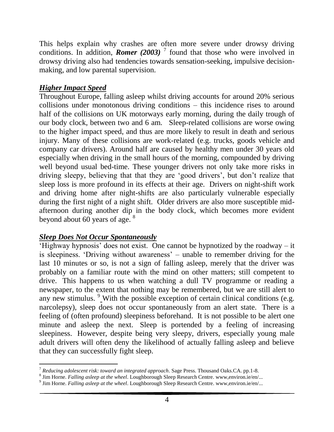This helps explain why crashes are often more severe under drowsy driving conditions. In addition, *Romer* (2003)<sup> $7$ </sup> found that those who were involved in drowsy driving also had tendencies towards sensation-seeking, impulsive decisionmaking, and low parental supervision.

## *Higher Impact Speed*

Throughout Europe, falling asleep whilst driving accounts for around 20% serious collisions under monotonous driving conditions – this incidence rises to around half of the collisions on UK motorways early morning, during the daily trough of our body clock, between two and 6 am. Sleep-related collisions are worse owing to the higher impact speed, and thus are more likely to result in death and serious injury. Many of these collisions are work-related (e.g. trucks, goods vehicle and company car drivers). Around half are caused by healthy men under 30 years old especially when driving in the small hours of the morning, compounded by driving well beyond usual bed-time. These younger drivers not only take more risks in driving sleepy, believing that that they are 'good drivers', but don't realize that sleep loss is more profound in its effects at their age. Drivers on night-shift work and driving home after night-shifts are also particularly vulnerable especially during the first night of a night shift. Older drivers are also more susceptible midafternoon during another dip in the body clock, which becomes more evident beyond about 60 years of age.  $8^{\circ}$ 

#### *Sleep Does Not Occur Spontaneously*

'Highway hypnosis' does not exist. One cannot be hypnotized by the roadway – it is sleepiness. 'Driving without awareness' – unable to remember driving for the last 10 minutes or so, is not a sign of falling asleep, merely that the driver was probably on a familiar route with the mind on other matters; still competent to drive. This happens to us when watching a dull TV programme or reading a newspaper, to the extent that nothing may be remembered, but we are still alert to any new stimulus. <sup>9</sup> With the possible exception of certain clinical conditions (e.g. narcolepsy), sleep does not occur spontaneously from an alert state. There is a feeling of (often profound) sleepiness beforehand. It is not possible to be alert one minute and asleep the next. Sleep is portended by a feeling of increasing sleepiness. However, despite being very sleepy, drivers, especially young male adult drivers will often deny the likelihood of actually falling asleep and believe that they can successfully fight sleep.

l <sup>7</sup> *Reducing adolescent risk: toward an integrated approach*. Sage Press. Thousand Oaks.CA. pp.1-8.

<sup>8</sup> Jim Horne. *Falling asleep at the wheel*. Loughborough Sleep Research Centre. www,environ.ie/en/...

<sup>9</sup> Jim Horne. *Falling asleep at the wheel*. Loughborough Sleep Research Centre. www,environ.ie/en/...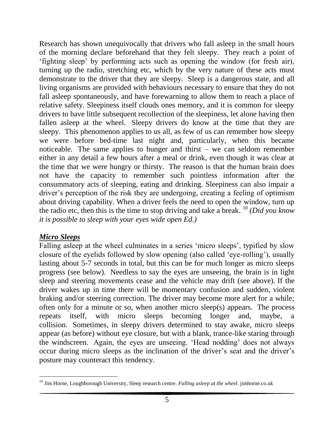Research has shown unequivocally that drivers who fall asleep in the small hours of the morning declare beforehand that they felt sleepy. They reach a point of 'fighting sleep' by performing acts such as opening the window (for fresh air), turning up the radio, stretching etc, which by the very nature of these acts must demonstrate to the driver that they are sleepy. Sleep is a dangerous state, and all living organisms are provided with behaviours necessary to ensure that they do not fall asleep spontaneously, and have forewarning to allow them to reach a place of relative safety. Sleepiness itself clouds ones memory, and it is common for sleepy drivers to have little subsequent recollection of the sleepiness, let alone having then fallen asleep at the wheel. Sleepy drivers do know at the time that they are sleepy. This phenomenon applies to us all, as few of us can remember how sleepy we were before bed-time last night and, particularly, when this became noticeable. The same applies to hunger and thirst – we can seldom remember either in any detail a few hours after a meal or drink, even though it was clear at the time that we were hungry or thirsty. The reason is that the human brain does not have the capacity to remember such pointless information after the consummatory acts of sleeping, eating and drinking. Sleepiness can also impair a driver's perception of the risk they are undergoing, creating a feeling of optimism about driving capability. When a driver feels the need to open the window, turn up the radio etc, then this is the time to stop driving and take a break. <sup>10</sup> *(Did you know it is possible to sleep with your eyes wide open Ed.)*

#### *Micro Sleeps*

Falling asleep at the wheel culminates in a series 'micro sleeps', typified by slow closure of the eyelids followed by slow opening (also called 'eye-rolling'), usually lasting about 5-7 seconds in total, but this can be for much longer as micro sleeps progress (see below). Needless to say the eyes are unseeing, the brain is in light sleep and steering movements cease and the vehicle may drift (see above). If the driver wakes up in time there will be momentary confusion and sudden, violent braking and/or steering correction. The driver may become more alert for a while; often only for a minute or so, when another micro sleep(s) appears. The process repeats itself, with micro sleeps becoming longer and, maybe, a collision. Sometimes, in sleepy drivers determined to stay awake, micro sleeps appear (as before) without eye closure, but with a blank, trance-like staring through the windscreen. Again, the eyes are unseeing. 'Head nodding' does not always occur during micro sleeps as the inclination of the driver's seat and the driver's posture may counteract this tendency.

 $\overline{a}$ <sup>10</sup> Jim Horne, Loughborough University, Sleep research centre. *Falling asleep at the wheel.* jimhorne.co.uk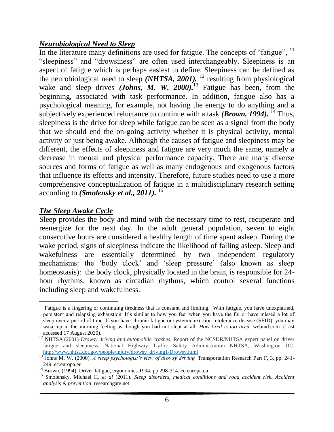#### *Neurobiological Need to Sleep*

In the literature many definitions are used for fatigue. The concepts of "fatigue", <sup>11</sup> "sleepiness" and "drowsiness" are often used interchangeably. Sleepiness is an aspect of fatigue which is perhaps easiest to define. Sleepiness can be defined as the neurobiological need to sleep *(NHTSA, 2001),* <sup>12</sup> resulting from physiological wake and sleep drives *(Johns, M. W. 2000)*.<sup>13</sup> Fatigue has been, from the beginning, associated with task performance. In addition, fatigue also has a psychological meaning, for example, not having the energy to do anything and a subjectively experienced reluctance to continue with a task *(Brown, 1994).* <sup>14</sup> Thus, sleepiness is the drive for sleep while fatigue can be seen as a signal from the body that we should end the on-going activity whether it is physical activity, mental activity or just being awake. Although the causes of fatigue and sleepiness may be different, the effects of sleepiness and fatigue are very much the same, namely a decrease in mental and physical performance capacity. There are many diverse sources and forms of fatigue as well as many endogenous and exogenous factors that influence its effects and intensity. Therefore, future studies need to use a more comprehensive conceptualization of fatigue in a multidisciplinary research setting according to *(Smolensky et al., 2011).* <sup>15</sup>

#### *The Sleep Awake Cycle*

Sleep provides the body and mind with the necessary time to rest, recuperate and reenergize for the next day. In the adult general population, seven to eight consecutive hours are considered a healthy length of time spent asleep. During the wake period, signs of sleepiness indicate the likelihood of falling asleep. Sleep and wakefulness are essentially determined by two independent regulatory mechanisms: the 'body clock' and 'sleep pressure' (also known as sleep homeostasis): the body clock, physically located in the brain, is responsible for 24 hour rhythms, known as circadian rhythms, which control several functions including sleep and wakefulness.

 $\overline{a}$  $11$  Fatigue is a lingering or continuing tiredness that is constant and limiting. With fatigue, you have unexplained, persistent and relapsing exhaustion. It's similar to how you feel when you have the flu or have missed a lot of sleep over a period of time. If you have chronic fatigue or systemic exertion intolerance disease (SEID), you may wake up in the morning feeling as though you had not slept at all. *How tired is too tired.* webmd.com. (Last accessed 17 August 2020).

<sup>&</sup>lt;sup>12</sup> NHTSA (2001) *Drowsy driving and automobile crashes*. Report of the NCSDR/NHTSA expert panel on driver fatigue and sleepiness. National Highway Traffic Safety Administration NHTSA, Washington DC. [http://www.nhtsa.dot.gov/people/injury/drowsy\\_driving1/Drowsy.html](http://www.nhtsa.dot.gov/people/injury/drowsy_driving1/Drowsy.html)

<sup>&</sup>lt;sup>13</sup> Johns M. W. (2000). *A sleep psychologist's view of drowsy driving*. Transportation Research Part F, 3, pp. 241-249. ec.europa.eu

<sup>&</sup>lt;sup>14</sup> Brown, (1994), Driver fatigue, ergonomics.1994, pp.298-314. ec.europa.eu

<sup>&</sup>lt;sup>15</sup> Smolensky, Michael H. *et al* (2011). *Sleep disorders, medical conditions and road accident risk. Accident analysis & prevention*. researchgate.net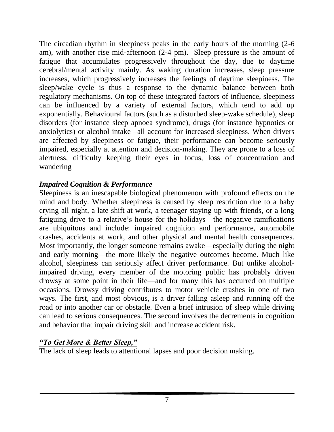The circadian rhythm in sleepiness peaks in the early hours of the morning (2-6 am), with another rise mid-afternoon (2-4 pm). Sleep pressure is the amount of fatigue that accumulates progressively throughout the day, due to daytime cerebral/mental activity mainly. As waking duration increases, sleep pressure increases, which progressively increases the feelings of daytime sleepiness. The sleep/wake cycle is thus a response to the dynamic balance between both regulatory mechanisms. On top of these integrated factors of influence, sleepiness can be influenced by a variety of external factors, which tend to add up exponentially. Behavioural factors (such as a disturbed sleep-wake schedule), sleep disorders (for instance sleep apnoea syndrome), drugs (for instance hypnotics or anxiolytics) or alcohol intake –all account for increased sleepiness. When drivers are affected by sleepiness or fatigue, their performance can become seriously impaired, especially at attention and decision-making. They are prone to a loss of alertness, difficulty keeping their eyes in focus, loss of concentration and wandering

### *Impaired Cognition & Performance*

Sleepiness is an inescapable biological phenomenon with profound effects on the mind and body. Whether sleepiness is caused by sleep restriction due to a baby crying all night, a late shift at work, a teenager staying up with friends, or a long fatiguing drive to a relative's house for the holidays—the negative ramifications are ubiquitous and include: impaired cognition and performance, automobile crashes, accidents at work, and other physical and mental health consequences. Most importantly, the longer someone remains awake—especially during the night and early morning—the more likely the negative outcomes become. Much like alcohol, sleepiness can seriously affect driver performance. But unlike alcoholimpaired driving, every member of the motoring public has probably driven drowsy at some point in their life—and for many this has occurred on multiple occasions. Drowsy driving contributes to motor vehicle crashes in one of two ways. The first, and most obvious, is a driver falling asleep and running off the road or into another car or obstacle. Even a brief intrusion of sleep while driving can lead to serious consequences. The second involves the decrements in cognition and behavior that impair driving skill and increase accident risk.

# *"To Get More & Better Sleep,"*

The lack of sleep leads to attentional lapses and poor decision making.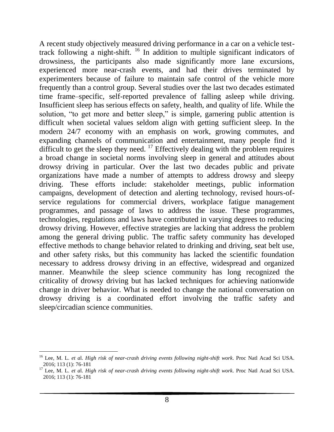A recent study objectively measured driving performance in a car on a vehicle testtrack following a night-shift. <sup>16</sup> In addition to multiple significant indicators of drowsiness, the participants also made significantly more lane excursions, experienced more near-crash events, and had their drives terminated by experimenters because of failure to maintain safe control of the vehicle more frequently than a control group. Several studies over the last two decades estimated time frame–specific, self-reported prevalence of falling asleep while driving. Insufficient sleep has serious effects on safety, health, and quality of life. While the solution, "to get more and better sleep," is simple, garnering public attention is difficult when societal values seldom align with getting sufficient sleep. In the modern 24/7 economy with an emphasis on work, growing commutes, and expanding channels of communication and entertainment, many people find it difficult to get the sleep they need.  $^{17}$  Effectively dealing with the problem requires a broad change in societal norms involving sleep in general and attitudes about drowsy driving in particular. Over the last two decades public and private organizations have made a number of attempts to address drowsy and sleepy driving. These efforts include: stakeholder meetings, public information campaigns, development of detection and alerting technology, revised hours-ofservice regulations for commercial drivers, workplace fatigue management programmes, and passage of laws to address the issue. These programmes, technologies, regulations and laws have contributed in varying degrees to reducing drowsy driving. However, effective strategies are lacking that address the problem among the general driving public. The traffic safety community has developed effective methods to change behavior related to drinking and driving, seat belt use, and other safety risks, but this community has lacked the scientific foundation necessary to address drowsy driving in an effective, widespread and organized manner. Meanwhile the sleep science community has long recognized the criticality of drowsy driving but has lacked techniques for achieving nationwide change in driver behavior. What is needed to change the national conversation on drowsy driving is a coordinated effort involving the traffic safety and sleep/circadian science communities.

 $\overline{a}$ 

<sup>16</sup> Lee, M. L. *et a*l. *High risk of near-crash driving events following night-shift work*. Proc Natl Acad Sci USA. 2016; 113 (1): 76-181

<sup>17</sup> Lee, M. L. *et a*l. *High risk of near-crash driving events following night-shift work*. Proc Natl Acad Sci USA. 2016; 113 (1): 76-181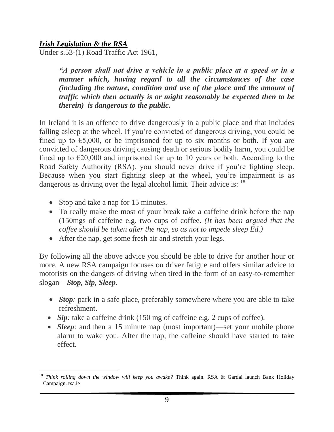#### *Irish Legislation & the RSA*

Under s.53-(1) Road Traffic Act 1961,

*"A person shall not drive a vehicle in a public place at a speed or in a manner which, having regard to all the circumstances of the case (including the nature, condition and use of the place and the amount of traffic which then actually is or might reasonably be expected then to be therein) is dangerous to the public.* 

In Ireland it is an offence to drive dangerously in a public place and that includes falling asleep at the wheel. If you're convicted of dangerous driving, you could be fined up to  $\epsilon$ 5,000, or be imprisoned for up to six months or both. If you are convicted of dangerous driving causing death or serious bodily harm, you could be fined up to  $\epsilon$ 20,000 and imprisoned for up to 10 years or both. According to the Road Safety Authority (RSA), you should never drive if you're fighting sleep. Because when you start fighting sleep at the wheel, you're impairment is as dangerous as driving over the legal alcohol limit. Their advice is: <sup>18</sup>

- Stop and take a nap for 15 minutes.
- To really make the most of your break take a caffeine drink before the nap (150mgs of caffeine e.g. two cups of coffee. *(It has been argued that the coffee should be taken after the nap, so as not to impede sleep Ed.)*
- After the nap, get some fresh air and stretch your legs.

By following all the above advice you should be able to drive for another hour or more. A new RSA campaign focuses on driver fatigue and offers similar advice to motorists on the dangers of driving when tired in the form of an easy-to-remember slogan – *Stop, Sip, Sleep.* 

- *Stop*: park in a safe place, preferably somewhere where you are able to take refreshment.
- *Sip*: take a caffeine drink (150 mg of caffeine e.g. 2 cups of coffee).
- *Sleep*: and then a 15 minute nap (most important)—set your mobile phone alarm to wake you. After the nap, the caffeine should have started to take effect.

l <sup>18</sup> *Think rolling down the window will keep you awake?* Think again. RSA & Gardai launch Bank Holiday Campaign. rsa.ie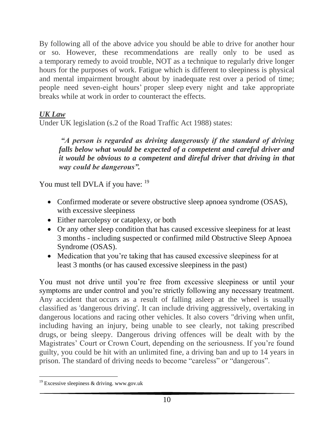By following all of the above advice you should be able to drive for another hour or so. However, these recommendations are really only to be used as a temporary remedy to avoid trouble, NOT as a technique to regularly drive longer hours for the purposes of work. Fatigue which is different to sleepiness is physical and mental impairment brought about by inadequate rest over a period of time; people need seven-eight hours' proper sleep every night and take appropriate breaks while at work in order to counteract the effects.

# *UK Law*

Under UK legislation (s.2 of the Road Traffic Act 1988) states:

*"A person is regarded as driving dangerously if the standard of driving falls below what would be expected of a competent and careful driver and it would be obvious to a competent and direful driver that driving in that way could be dangerous".* 

You must tell DVLA if you have: <sup>19</sup>

- Confirmed moderate or severe obstructive sleep apnoea syndrome (OSAS), with excessive sleepiness
- Either narcolepsy or cataplexy, or both
- Or any other sleep condition that has caused excessive sleepiness for at least 3 months - including suspected or confirmed mild Obstructive Sleep Apnoea Syndrome (OSAS).
- Medication that you're taking that has caused excessive sleepiness for at least 3 months (or has caused excessive sleepiness in the past)

You must not drive until you're free from excessive sleepiness or until your symptoms are under control and you're strictly following any necessary treatment. Any accident that occurs as a result of falling asleep at the wheel is usually classified as 'dangerous driving'. It can include driving aggressively, overtaking in dangerous locations and racing other vehicles. It also covers "driving when unfit, including having an injury, being unable to see clearly, not taking prescribed drugs, or being sleepy. Dangerous driving offences will be dealt with by the Magistrates' Court or Crown Court, depending on the seriousness. If you're found guilty, you could be hit with an unlimited fine, a driving ban and up to 14 years in prison. The standard of driving needs to become "careless" or "dangerous".

 $\overline{a}$ <sup>19</sup> Excessive sleepiness & driving. www.gov.uk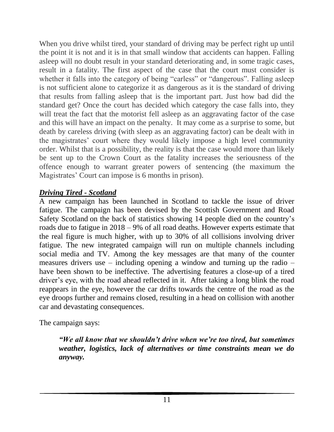When you drive whilst tired, your standard of driving may be perfect right up until the point it is not and it is in that small window that accidents can happen. Falling asleep will no doubt result in your standard deteriorating and, in some tragic cases, result in a fatality. The first aspect of the case that the court must consider is whether it falls into the category of being "carless" or "dangerous". Falling asleep is not sufficient alone to categorize it as dangerous as it is the standard of driving that results from falling asleep that is the important part. Just how bad did the standard get? Once the court has decided which category the case falls into, they will treat the fact that the motorist fell asleep as an aggravating factor of the case and this will have an impact on the penalty. It may come as a surprise to some, but death by careless driving (with sleep as an aggravating factor) can be dealt with in the magistrates' court where they would likely impose a high level community order. Whilst that is a possibility, the reality is that the case would more than likely be sent up to the Crown Court as the fatality increases the seriousness of the offence enough to warrant greater powers of sentencing (the maximum the Magistrates' Court can impose is 6 months in prison).

### *Driving Tired - Scotland*

A new campaign has been launched in Scotland to tackle the issue of driver fatigue. [The campaign has been devised by the Scottish Government and Road](https://roadsafety.scot/topics/driver-fatigue/?utm_source=twitter&utm_medium=PR&utm_campaign=driver-fatigue)  [Safety Scotland](https://roadsafety.scot/topics/driver-fatigue/?utm_source=twitter&utm_medium=PR&utm_campaign=driver-fatigue) on the back of statistics showing 14 people died on the country's roads due to fatigue in 2018 – 9% of all road deaths. However experts estimate that the real figure is much higher, with up to 30% of all collisions involving driver fatigue. The new integrated campaign will run on multiple channels including social media and TV. Among the key messages are that many of the counter measures drivers use – including opening a window and turning up the radio – have been shown to be ineffective. The advertising features a close-up of a tired driver's eye, with the road ahead reflected in it. After taking a long blink the road reappears in the eye, however the car drifts towards the centre of the road as the eye droops further and remains closed, resulting in a head on collision with another car and devastating consequences.

The campaign says:

*"We all know that we shouldn't drive when we're too tired, but sometimes weather, logistics, lack of alternatives or time constraints mean we do anyway.*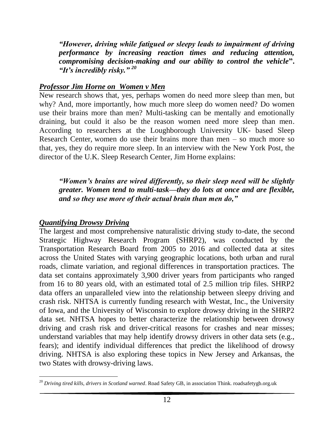*"However, driving while fatigued or sleepy leads to impairment of driving performance by increasing reaction times and reducing attention, compromising decision-making and our ability to control the vehicle***".** *"It's incredibly risky." <sup>20</sup>*

#### *Professor Jim Horne on Women v Men*

New research shows that, yes, perhaps women do need more sleep than men, but why? And, more importantly, how much more sleep do women need? Do women use their brains more than men? Multi-tasking can be mentally and emotionally draining, but could it also be the reason women need more sleep than men. According to researchers at the Loughborough University UK- based Sleep Research Center, women do use their brains more than men – so much more so that, yes, they do require more sleep. In an interview with the New York Post, the director of the U.K. Sleep Research Center, Jim Horne explains:

*"Women's brains are wired differently, so their sleep need will be slightly greater. Women tend to multi-task—they do lots at once and are flexible, and so they use more of their actual brain than men do,"*

#### *Quantifying Drowsy Driving*

The largest and most comprehensive naturalistic driving study to-date, the second Strategic Highway Research Program (SHRP2), was conducted by the Transportation Research Board from 2005 to 2016 and collected data at sites across the United States with varying geographic locations, both urban and rural roads, climate variation, and regional differences in transportation practices. The data set contains approximately 3,900 driver years from participants who ranged from 16 to 80 years old, with an estimated total of 2.5 million trip files. SHRP2 data offers an unparalleled view into the relationship between sleepy driving and crash risk. NHTSA is currently funding research with Westat, Inc., the University of Iowa, and the University of Wisconsin to explore drowsy driving in the SHRP2 data set. NHTSA hopes to better characterize the relationship between drowsy driving and crash risk and driver-critical reasons for crashes and near misses; understand variables that may help identify drowsy drivers in other data sets (e.g., fears); and identify individual differences that predict the likelihood of drowsy driving. NHTSA is also exploring these topics in New Jersey and Arkansas, the two States with drowsy-driving laws.

 $\overline{a}$ <sup>20</sup> *Driving tired kills, drivers in Scotland warned*. Road Safety GB, in association Think. roadsafetygb.org.uk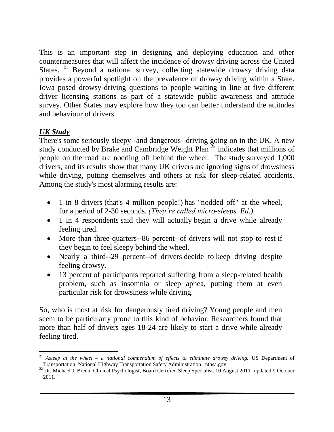This is an important step in designing and deploying education and other countermeasures that will affect the incidence of drowsy driving across the United States. <sup>21</sup> Beyond a national survey, collecting statewide drowsy driving data provides a powerful spotlight on the prevalence of drowsy driving within a State. Iowa posed drowsy-driving questions to people waiting in line at five different driver licensing stations as part of a statewide public awareness and attitude survey. Other States may explore how they too can better understand the attitudes and behaviour of drivers.

# *UK Study*

There's some seriously sleepy--and dangerous--driving going on in the UK. A new study conducted by [Brake](http://www.brake.org.uk/) and [Cambridge Weight Plan](http://www.cambridgeweightplan.com/)  $^{22}$  indicates that millions of people on the road are nodding off behind the wheel. The [study](http://www.brake.org.uk/latest-news/130711.htm) surveyed 1,000 drivers, and its results show that many UK drivers are ignoring signs of drowsiness while driving, putting themselves and others at risk for sleep-related accidents. Among the study's most alarming results are:

- 1 in 8 drivers (that's 4 million people!) has "nodded off" at the wheel**,**  for a period of 2-30 seconds. *(They're called micro-sleeps. Ed.).*
- 1 in 4 respondents said they will actually begin a drive while already feeling tired.
- More than three-quarters--86 percent--of drivers will not stop to rest if they begin to feel sleepy behind the wheel.
- Nearly a third**--**29 percent--of drivers decide to keep driving despite feeling drowsy.
- 13 percent of participants reported suffering from a sleep-related health problem**,** such as insomnia or sleep apnea, putting them at even particular risk for drowsiness while driving.

So, who is most at risk for dangerously tired driving? Young people and men seem to be particularly prone to this kind of behavior. Researchers found that more than half of drivers ages 18-24 are likely to start a drive while already feeling tired.

 $\overline{a}$ <sup>21</sup> *Asleep at the wheel – a national compendium of effects to eliminate drowsy driving.* US Department of Transportation. National Highway Transportation Safety Administration . nthsa.gov

<sup>&</sup>lt;sup>22</sup> Dr. Michael J. Breun, Clinical Psychologist, Board Certified Sleep Specialist. 10 August 2011- updated 9 October 2011.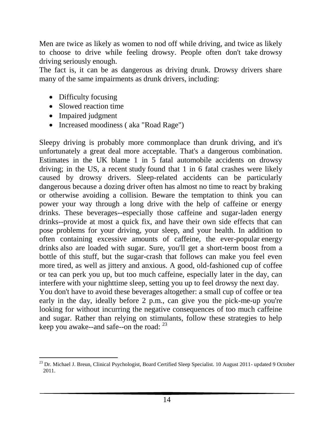Men are twice as likely as women to nod off while driving, and twice as likely to choose to drive while feeling drowsy. People often don't take [drowsy](http://www.theinsomniablog.com/the_insomnia_blog/2010/11/dont-get-caught-drowsy-driving-this-holiday-season.html)  [driving](http://www.theinsomniablog.com/the_insomnia_blog/2010/11/dont-get-caught-drowsy-driving-this-holiday-season.html) seriously enough.

The fact is, it can be as dangerous as driving drunk. Drowsy drivers share many of the same impairments as drunk drivers, including:

- Difficulty focusing
- Slowed reaction time
- Impaired judgment
- Increased moodiness (aka "Road Rage")

Sleepy driving is probably more commonplace than drunk driving, and it's unfortunately a great deal more acceptable. That's a dangerous combination. Estimates in the UK blame 1 in 5 fatal automobile accidents on drowsy driving; in the US, a recent [study](http://www.medicalnewstoday.com/articles/207052.php) found that 1 in 6 fatal crashes were likely caused by drowsy drivers. Sleep-related accidents can be particularly dangerous because a dozing driver often has almost no time to react by braking or otherwise avoiding a collision. Beware the temptation to think you can power your way through a long drive with the help of caffeine or energy drinks. These beverages--especially those caffeine and sugar-laden energy drinks--provide at most a quick fix, and have their own side effects that can pose problems for your driving, your sleep, and your health. In addition to often containing excessive amounts of caffeine, the ever-popular [energy](http://www.theinsomniablog.com/the_insomnia_blog/2008/10/sleep-energy-drinks.html)  [drinks](http://www.theinsomniablog.com/the_insomnia_blog/2008/10/sleep-energy-drinks.html) also are loaded with sugar. Sure, you'll get a short-term boost from a bottle of this stuff, but the sugar-crash that follows can make you feel even more tired, as well as jittery and anxious. A good, old-fashioned cup of coffee or tea can perk you up, but too much [caffeine,](http://www.theinsomniablog.com/the_insomnia_blog/2009/12/shift-worker-alert-curb-the-caffeine.html) especially later in the day, can interfere with your nighttime sleep, setting you up to feel drowsy the next day. You don't have to avoid these beverages altogether: a small cup of coffee or tea early in the day, ideally before 2 p.m., can give you the pick-me-up you're looking for without incurring the negative consequences of too much caffeine and sugar. Rather than relying on stimulants, follow these strategies to help keep you awake--and safe--on the road:  $^{23}$ 

 $\overline{a}$ <sup>23</sup> Dr. Michael J. Breun, Clinical Psychologist, Board Certified Sleep Specialist. 10 August 2011- updated 9 October 2011.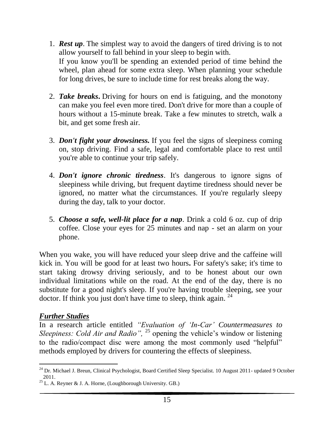- 1. *Rest up*. The simplest way to avoid the dangers of tired driving is to not allow yourself to fall behind in your sleep to begin with. If you know you'll be spending an extended period of time behind the wheel, plan ahead for some extra sleep. When planning your schedule for long drives, be sure to include time for rest breaks along the way.
- 2. *Take breaks***.** Driving for hours on end is fatiguing, and the monotony can make you feel even more tired. Don't drive for more than a couple of hours without a 15-minute break. Take a few minutes to stretch, walk a bit, and get some fresh air.
- 3. *Don't fight your drowsiness.* If you feel the signs of sleepiness coming on, stop driving. Find a safe, legal and comfortable place to rest until you're able to continue your trip safely.
- 4. *Don't ignore chronic tiredness*. It's dangerous to ignore signs of sleepiness while driving, but frequent daytime tiredness should never be ignored, no matter what the circumstances. If you're regularly sleepy during the day, talk to your doctor.
- 5. *Choose a safe, well-lit place for a nap*. Drink a cold 6 oz. cup of drip coffee. Close your eyes for 25 minutes and nap - set an alarm on your phone.

When you wake, you will have reduced your sleep drive and the caffeine will kick in. You will be good for at least two hours**.** For safety's sake; it's time to start taking drowsy driving seriously, and to be honest about our own individual limitations while on the road. At the end of the day, there is no substitute for a good night's sleep. If you're having trouble sleeping, see your doctor. If think you just don't have time to sleep, think again. <sup>24</sup>

#### *Further Studies*

In a research article entitled *"Evaluation of 'In-Car' Countermeasures to Sleepiness: Cold Air and Radio"*, <sup>25</sup> opening the vehicle's window or listening to the radio/compact disc were among the most commonly used "helpful" methods employed by drivers for countering the effects of sleepiness.

l <sup>24</sup> Dr. Michael J. Breun, Clinical Psychologist, Board Certified Sleep Specialist. 10 August 2011- updated 9 October 2011.

 $^{25}$  L. A. Reyner & J. A. Horne, (Loughborough University. GB.)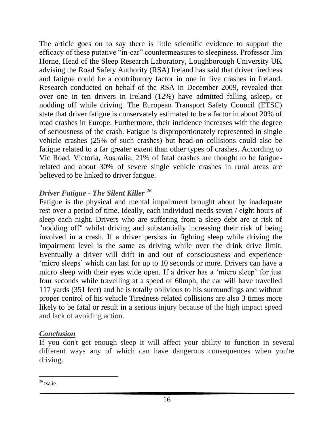The article goes on to say there is little scientific evidence to support the efficacy of these putative "in-car" countermeasures to sleepiness. Professor Jim Horne, Head of the Sleep Research Laboratory, Loughborough University UK advising the Road Safety Authority (RSA) Ireland has said that driver tiredness and fatigue could be a contributory factor in one in five crashes in Ireland. Research conducted on behalf of the RSA in December 2009, revealed that over one in ten drivers in Ireland (12%) have admitted falling asleep, or nodding off while driving. The European Transport Safety Council (ETSC) state that driver fatigue is conservately estimated to be a factor in about 20% of road crashes in Europe. Furthermore, their incidence increases with the degree of seriousness of the crash. Fatigue is disproportionately represented in single vehicle crashes (25% of such crashes) but head-on collisions could also be fatigue related to a far greater extent than other types of crashes. According to Vic Road, Victoria, Australia, 21% of fatal crashes are thought to be fatiguerelated and about 30% of severe single vehicle crashes in rural areas are believed to be linked to driver fatigue.

### *Driver Fatigue - The Silent Killer <sup>26</sup>*

Fatigue is the physical and mental impairment brought about by inadequate rest over a period of time. Ideally, each individual needs seven / eight hours of sleep each night. Drivers who are suffering from a sleep debt are at risk of "nodding off" whilst driving and substantially increasing their risk of being involved in a crash. If a driver persists in fighting sleep while driving the impairment level is the same as driving while over the drink drive limit. Eventually a driver will drift in and out of consciousness and experience 'micro sleeps' which can last for up to 10 seconds or more. Drivers can have a micro sleep with their eyes wide open. If a driver has a 'micro sleep' for just four seconds while travelling at a speed of 60mph, the car will have travelled 117 yards (351 feet) and he is totally oblivious to his surroundings and without proper control of his vehicle Tiredness related collisions are also 3 times more likely to be fatal or result in a serious injury because of the high impact speed and lack of avoiding action.

#### *Conclusion*

If you don't get enough sleep it will affect your ability to function in several different ways any of which can have dangerous consequences when you're driving.

 $\overline{a}$ <sup>26</sup> rsa.ie